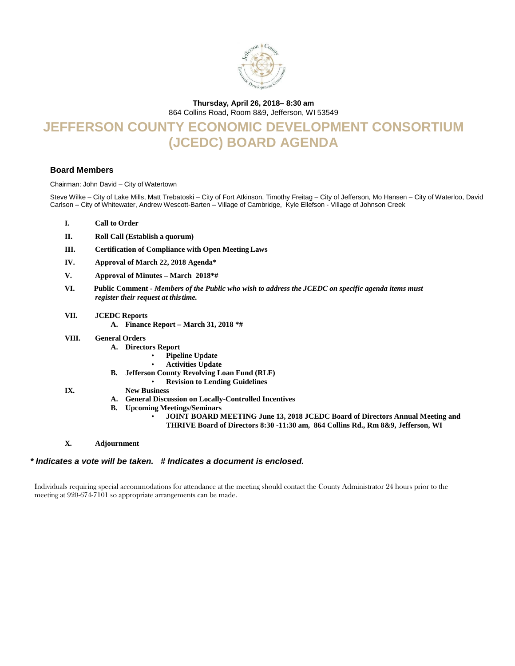

### **Thursday, April 26, 2018– 8:30 am**

864 Collins Road, Room 8&9, Jefferson, WI 53549

# **JEFFERSON COUNTY ECONOMIC DEVELOPMENT CONSORTIUM (JCEDC) BOARD AGENDA**

#### **Board Members**

Chairman: John David – City of Watertown

Steve Wilke – City of Lake Mills, Matt Trebatoski – City of Fort Atkinson, Timothy Freitag – City of Jefferson, Mo Hansen – City of Waterloo, David Carlson – City of Whitewater, Andrew Wescott-Barten – Village of Cambridge, Kyle Ellefson - Village of Johnson Creek

- **I. Call to Order**
- **II. Roll Call (Establish a quorum)**
- **III. Certification of Compliance with Open Meeting Laws**
- **IV. Approval of March 22, 2018 Agenda\***
- **V. Approval of Minutes – March 2018\*#**
- **VI.****Public Comment -** *Members of the Public who wish to address the JCEDC on specific agenda items must register their request at thistime.*
- **VII. JCEDC Reports**
	- **A. Finance Report – March 31, 2018 \*#**
- **VIII. General Orders**
	- **A. Directors Report**
		- **Pipeline Update**
		- **Activities Update**
	- **B. Jefferson County Revolving Loan Fund (RLF)**
		- **Revision to Lending Guidelines**
- **IX. New Business**
	- **A. General Discussion on Locally-Controlled Incentives**
	- **B. Upcoming Meetings/Seminars**
		- **JOINT BOARD MEETING June 13, 2018 JCEDC Board of Directors Annual Meeting and THRIVE Board of Directors 8:30 -11:30 am, 864 Collins Rd., Rm 8&9, Jefferson, WI**
- **X. Adjournment**

#### *\* Indicates a vote will be taken. # Indicates a document is enclosed.*

Individuals requiring special accommodations for attendance at the meeting should contact the County Administrator 24 hours prior to the meeting at 920-674-7101 so appropriate arrangements can be made.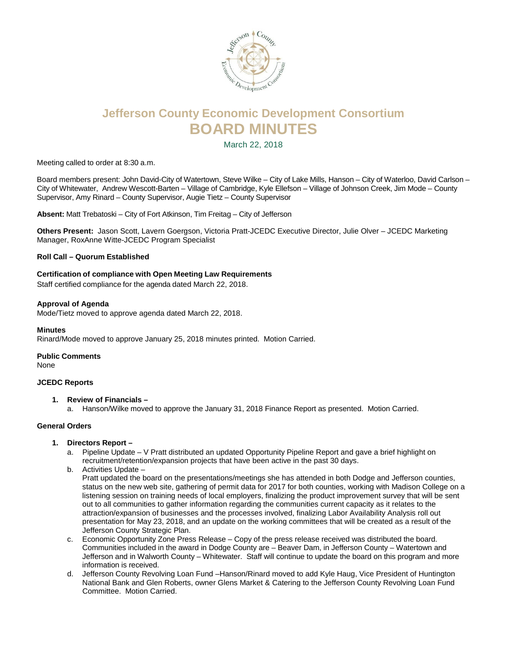

# **Jefferson County Economic Development Consortium BOARD MINUTES**

March 22, 2018

Meeting called to order at 8:30 a.m.

Board members present: John David-City of Watertown, Steve Wilke – City of Lake Mills, Hanson – City of Waterloo, David Carlson – City of Whitewater, Andrew Wescott-Barten – Village of Cambridge, Kyle Ellefson – Village of Johnson Creek, Jim Mode – County Supervisor, Amy Rinard – County Supervisor, Augie Tietz – County Supervisor

**Absent:** Matt Trebatoski – City of Fort Atkinson, Tim Freitag – City of Jefferson

**Others Present:** Jason Scott, Lavern Goergson, Victoria Pratt-JCEDC Executive Director, Julie Olver – JCEDC Marketing Manager, RoxAnne Witte-JCEDC Program Specialist

#### **Roll Call – Quorum Established**

#### **Certification of compliance with Open Meeting Law Requirements**

Staff certified compliance for the agenda dated March 22, 2018.

#### **Approval of Agenda**

Mode/Tietz moved to approve agenda dated March 22, 2018.

#### **Minutes**

Rinard/Mode moved to approve January 25, 2018 minutes printed. Motion Carried.

## **Public Comments**

None

#### **JCEDC Reports**

- **1. Review of Financials –**
	- a. Hanson/Wilke moved to approve the January 31, 2018 Finance Report as presented. Motion Carried.

#### **General Orders**

- **1. Directors Report –**
	- a. Pipeline Update V Pratt distributed an updated Opportunity Pipeline Report and gave a brief highlight on recruitment/retention/expansion projects that have been active in the past 30 days.
	- b. Activities Update –

Pratt updated the board on the presentations/meetings she has attended in both Dodge and Jefferson counties, status on the new web site, gathering of permit data for 2017 for both counties, working with Madison College on a listening session on training needs of local employers, finalizing the product improvement survey that will be sent out to all communities to gather information regarding the communities current capacity as it relates to the attraction/expansion of businesses and the processes involved, finalizing Labor Availability Analysis roll out presentation for May 23, 2018, and an update on the working committees that will be created as a result of the Jefferson County Strategic Plan.

- c. Economic Opportunity Zone Press Release Copy of the press release received was distributed the board. Communities included in the award in Dodge County are – Beaver Dam, in Jefferson County – Watertown and Jefferson and in Walworth County – Whitewater. Staff will continue to update the board on this program and more information is received.
- d. Jefferson County Revolving Loan Fund –Hanson/Rinard moved to add Kyle Haug, Vice President of Huntington National Bank and Glen Roberts, owner Glens Market & Catering to the Jefferson County Revolving Loan Fund Committee. Motion Carried.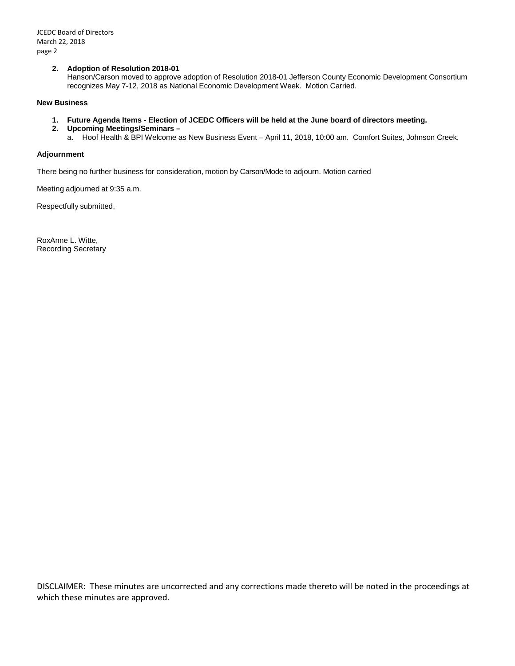#### **2. Adoption of Resolution 2018-01**

Hanson/Carson moved to approve adoption of Resolution 2018-01 Jefferson County Economic Development Consortium recognizes May 7-12, 2018 as National Economic Development Week. Motion Carried.

#### **New Business**

- **1. Future Agenda Items - Election of JCEDC Officers will be held at the June board of directors meeting.**
- **2. Upcoming Meetings/Seminars –**
	- a. Hoof Health & BPI Welcome as New Business Event April 11, 2018, 10:00 am. Comfort Suites, Johnson Creek.

#### **Adjournment**

There being no further business for consideration, motion by Carson/Mode to adjourn. Motion carried

Meeting adjourned at 9:35 a.m.

Respectfully submitted,

RoxAnne L. Witte, Recording Secretary

DISCLAIMER: These minutes are uncorrected and any corrections made thereto will be noted in the proceedings at which these minutes are approved.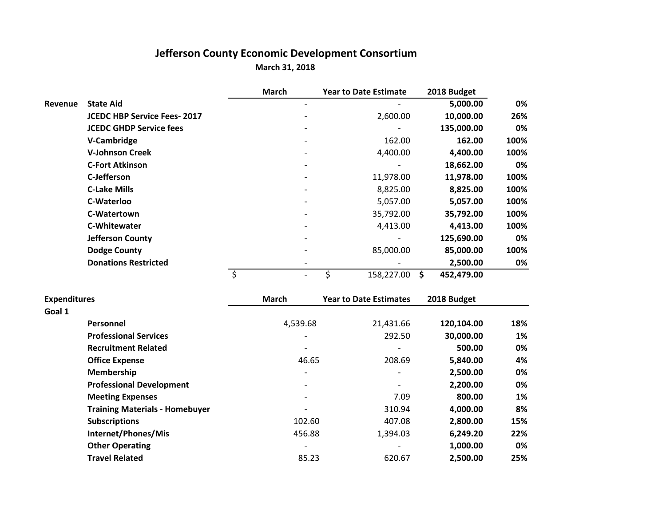## **Jefferson County Economic Development Consortium March 31, 2018**

|         |                                    | <b>March</b>                 | <b>Year to Date Estimate</b> | 2018 Budget      |      |
|---------|------------------------------------|------------------------------|------------------------------|------------------|------|
| Revenue | <b>State Aid</b>                   | $\qquad \qquad \blacksquare$ |                              | 5,000.00         | 0%   |
|         | <b>JCEDC HBP Service Fees-2017</b> |                              | 2,600.00                     | 10,000.00        | 26%  |
|         | <b>JCEDC GHDP Service fees</b>     |                              |                              | 135,000.00       | 0%   |
|         | V-Cambridge                        |                              | 162.00                       | 162.00           | 100% |
|         | <b>V-Johnson Creek</b>             | $\qquad \qquad \blacksquare$ | 4,400.00                     | 4,400.00         | 100% |
|         | <b>C-Fort Atkinson</b>             | $\qquad \qquad \blacksquare$ |                              | 18,662.00        | 0%   |
|         | C-Jefferson                        |                              | 11,978.00                    | 11,978.00        | 100% |
|         | <b>C-Lake Mills</b>                | $\qquad \qquad \blacksquare$ | 8,825.00                     | 8,825.00         | 100% |
|         | C-Waterloo                         | $\qquad \qquad \blacksquare$ | 5,057.00                     | 5,057.00         | 100% |
|         | C-Watertown                        |                              | 35,792.00                    | 35,792.00        | 100% |
|         | <b>C-Whitewater</b>                |                              | 4,413.00                     | 4,413.00         | 100% |
|         | <b>Jefferson County</b>            | $\qquad \qquad \blacksquare$ |                              | 125,690.00       | 0%   |
|         | <b>Dodge County</b>                | $\qquad \qquad \blacksquare$ | 85,000.00                    | 85,000.00        | 100% |
|         | <b>Donations Restricted</b>        |                              |                              | 2,500.00         | 0%   |
|         |                                    | $\overline{\phantom{0}}$     | \$<br>158,227.00             | \$<br>452,479.00 |      |

| <b>Expenditures</b>                   | <b>March</b>             | <b>Year to Date Estimates</b> | 2018 Budget |     |
|---------------------------------------|--------------------------|-------------------------------|-------------|-----|
| Goal 1                                |                          |                               |             |     |
| Personnel                             | 4,539.68                 | 21,431.66                     | 120,104.00  | 18% |
| <b>Professional Services</b>          | $\overline{\phantom{0}}$ | 292.50                        | 30,000.00   | 1%  |
| <b>Recruitment Related</b>            |                          | $\qquad \qquad$               | 500.00      | 0%  |
| <b>Office Expense</b>                 | 46.65                    | 208.69                        | 5,840.00    | 4%  |
| Membership                            | $\overline{\phantom{0}}$ | $\qquad \qquad$               | 2,500.00    | 0%  |
| <b>Professional Development</b>       | $\overline{\phantom{0}}$ | $\qquad \qquad$               | 2,200.00    | 0%  |
| <b>Meeting Expenses</b>               |                          | 7.09                          | 800.00      | 1%  |
| <b>Training Materials - Homebuyer</b> |                          | 310.94                        | 4,000.00    | 8%  |
| <b>Subscriptions</b>                  | 102.60                   | 407.08                        | 2,800.00    | 15% |
| Internet/Phones/Mis                   | 456.88                   | 1,394.03                      | 6,249.20    | 22% |
| <b>Other Operating</b>                |                          |                               | 1,000.00    | 0%  |
| <b>Travel Related</b>                 | 85.23                    | 620.67                        | 2,500.00    | 25% |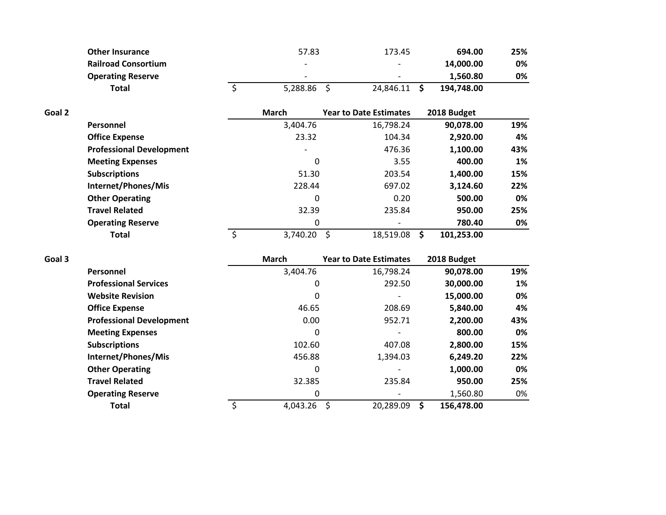| <b>Other Insurance</b>     | 57.83                    | 173.45                   | 694.00     | 25% |
|----------------------------|--------------------------|--------------------------|------------|-----|
| <b>Railroad Consortium</b> | $\overline{\phantom{0}}$ | $\overline{\phantom{0}}$ | 14.000.00  | 0%  |
| <b>Operating Reserve</b>   | $\overline{\phantom{0}}$ | $\overline{\phantom{0}}$ | 1.560.80   | 0%  |
| Total                      | 5.288.86                 | 24.846.11                | 194.748.00 |     |

| Goal 2 |                                 | <b>March</b>             | <b>Year to Date Estimates</b> | 2018 Budget |     |
|--------|---------------------------------|--------------------------|-------------------------------|-------------|-----|
|        | Personnel                       | 3,404.76                 | 16,798.24                     | 90,078.00   | 19% |
|        | <b>Office Expense</b>           | 23.32                    | 104.34                        | 2,920.00    | 4%  |
|        | <b>Professional Development</b> | $\overline{\phantom{0}}$ | 476.36                        | 1,100.00    | 43% |
|        | <b>Meeting Expenses</b>         | 0                        | 3.55                          | 400.00      | 1%  |
|        | <b>Subscriptions</b>            | 51.30                    | 203.54                        | 1,400.00    | 15% |
|        | Internet/Phones/Mis             | 228.44                   | 697.02                        | 3,124.60    | 22% |
|        | <b>Other Operating</b>          | 0                        | 0.20                          | 500.00      | 0%  |
|        | <b>Travel Related</b>           | 32.39                    | 235.84                        | 950.00      | 25% |
|        | <b>Operating Reserve</b>        | 0                        |                               | 780.40      | 0%  |
|        | Total                           | 3,740.20                 | 18,519.08                     | 101,253.00  |     |

| Goal 3 |                                 | <b>March</b> | <b>Year to Date Estimates</b> | 2018 Budget      |     |
|--------|---------------------------------|--------------|-------------------------------|------------------|-----|
|        | Personnel                       | 3,404.76     | 16,798.24                     | 90,078.00        | 19% |
|        | <b>Professional Services</b>    | 0            | 292.50                        | 30,000.00        | 1%  |
|        | <b>Website Revision</b>         | 0            |                               | 15,000.00        | 0%  |
|        | <b>Office Expense</b>           | 46.65        | 208.69                        | 5,840.00         | 4%  |
|        | <b>Professional Development</b> | 0.00         | 952.71                        | 2,200.00         | 43% |
|        | <b>Meeting Expenses</b>         | 0            |                               | 800.00           | 0%  |
|        | <b>Subscriptions</b>            | 102.60       | 407.08                        | 2,800.00         | 15% |
|        | Internet/Phones/Mis             | 456.88       | 1,394.03                      | 6,249.20         | 22% |
|        | <b>Other Operating</b>          | 0            |                               | 1,000.00         | 0%  |
|        | <b>Travel Related</b>           | 32.385       | 235.84                        | 950.00           | 25% |
|        | <b>Operating Reserve</b>        | 0            |                               | 1,560.80         | 0%  |
|        | <b>Total</b>                    | 4,043.26     | 20,289.09<br>Ŝ                | 156,478.00<br>S. |     |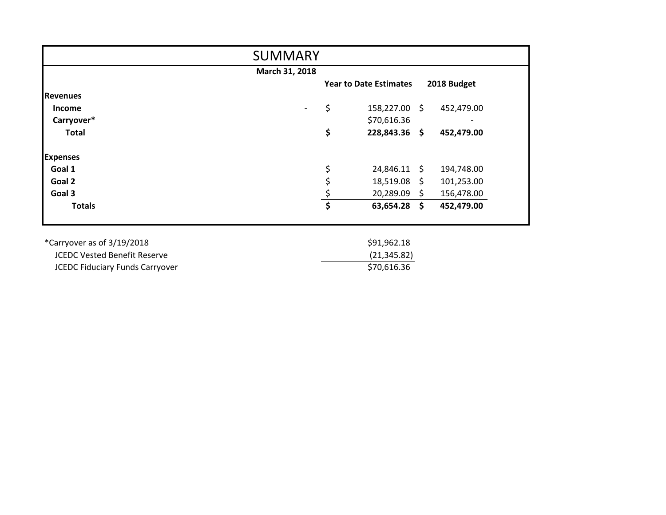| <b>SUMMARY</b>                         |                                                                 |  |  |  |  |
|----------------------------------------|-----------------------------------------------------------------|--|--|--|--|
|                                        | March 31, 2018                                                  |  |  |  |  |
|                                        | 2018 Budget<br><b>Year to Date Estimates</b>                    |  |  |  |  |
| <b>Revenues</b>                        |                                                                 |  |  |  |  |
| <b>Income</b>                          | \$<br>158,227.00 \$<br>452,479.00<br>$\overline{\phantom{a}}$   |  |  |  |  |
| Carryover*                             | \$70,616.36                                                     |  |  |  |  |
| <b>Total</b>                           | \$<br>228,843.36 \$<br>452,479.00                               |  |  |  |  |
| <b>Expenses</b>                        |                                                                 |  |  |  |  |
| Goal 1                                 | \$<br>24,846.11 \$<br>194,748.00                                |  |  |  |  |
| Goal 2                                 | \$<br>$18,519.08 \text{ }$<br>101,253.00                        |  |  |  |  |
| Goal 3                                 | $\frac{5}{1}$<br>20,289.09 \$<br>156,478.00                     |  |  |  |  |
| <b>Totals</b>                          | $\overline{\boldsymbol{\zeta}}$<br>$63,654.28$ \$<br>452,479.00 |  |  |  |  |
| *Carryover as of 3/19/2018             | \$91,962.18                                                     |  |  |  |  |
| <b>JCEDC Vested Benefit Reserve</b>    | (21, 345.82)                                                    |  |  |  |  |
| <b>JCEDC Fiduciary Funds Carryover</b> | \$70,616.36                                                     |  |  |  |  |